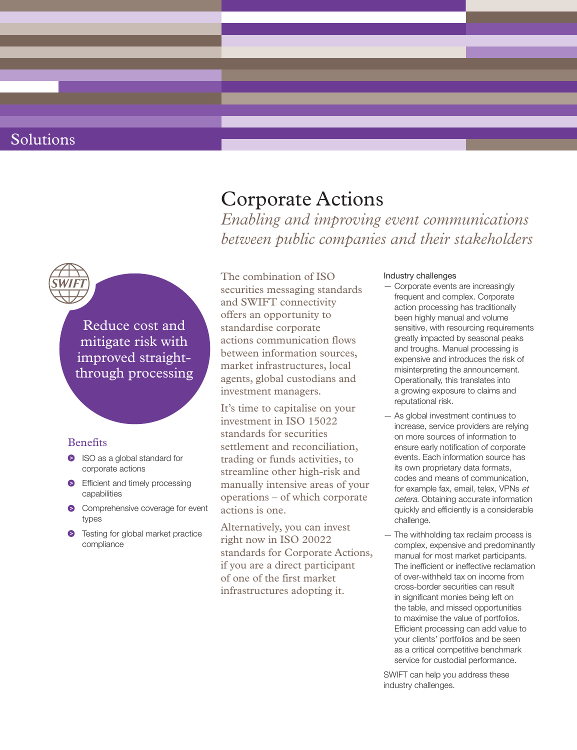# Solutions

Reduce cost and mitigate risk with improved straightthrough processing

## **Benefits**

- ISO as a global standard for corporate actions
- **Efficient and timely processing** capabilities
- **Comprehensive coverage for event** types
- **•** Testing for global market practice compliance

The combination of ISO securities messaging standards and SWIFT connectivity offers an opportunity to standardise corporate actions communication flows between information sources, market infrastructures, local agents, global custodians and investment managers.

Corporate Actions

It's time to capitalise on your investment in ISO 15022 standards for securities settlement and reconciliation, trading or funds activities, to streamline other high-risk and manually intensive areas of your operations – of which corporate actions is one.

Alternatively, you can invest right now in ISO 20022 standards for Corporate Actions, if you are a direct participant of one of the first market infrastructures adopting it.

### Industry challenges

*Enabling and improving event communications between public companies and their stakeholders*

- Corporate events are increasingly frequent and complex. Corporate action processing has traditionally been highly manual and volume sensitive, with resourcing requirements greatly impacted by seasonal peaks and troughs. Manual processing is expensive and introduces the risk of misinterpreting the announcement. Operationally, this translates into a growing exposure to claims and reputational risk.
- As global investment continues to increase, service providers are relying on more sources of information to ensure early notification of corporate events. Each information source has its own proprietary data formats, codes and means of communication, for example fax, email, telex, VPNs et cetera. Obtaining accurate information quickly and efficiently is a considerable challenge.
- The withholding tax reclaim process is complex, expensive and predominantly manual for most market participants. The inefficient or ineffective reclamation of over-withheld tax on income from cross-border securities can result in significant monies being left on the table, and missed opportunities to maximise the value of portfolios. Efficient processing can add value to your clients' portfolios and be seen as a critical competitive benchmark service for custodial performance.

SWIFT can help you address these industry challenges.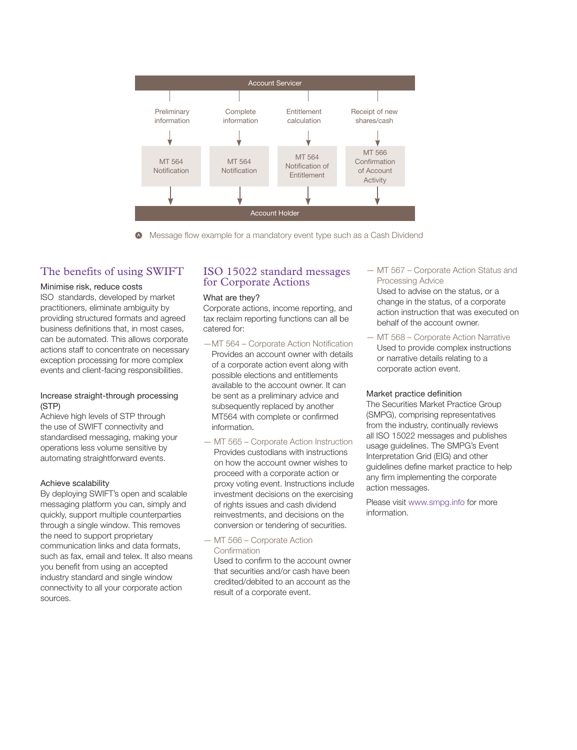

Message flow example for a mandatory event type such as a Cash Dividend

## The benefits of using SWIFT

#### Minimise risk, reduce costs

ISO standards, developed by market practitioners, eliminate ambiguity by providing structured formats and agreed business definitions that, in most cases, can be automated. This allows corporate actions staff to concentrate on necessary exception processing for more complex events and client-facing responsibilities.

#### Increase straight-through processing (STP)

Achieve high levels of STP through the use of SWIFT connectivity and standardised messaging, making your operations less volume sensitive by automating straightforward events.

#### Achieve scalability

By deploying SWIFT's open and scalable messaging platform you can, simply and quickly, support multiple counterparties through a single window. This removes the need to support proprietary communication links and data formats, such as fax, email and telex. It also means you benefit from using an accepted industry standard and single window connectivity to all your corporate action sources.

## ISO 15022 standard messages for Corporate Actions

#### What are they?

Corporate actions, income reporting, and tax reclaim reporting functions can all be catered for:

- —MT 564 Corporate Action Notification Provides an account owner with details of a corporate action event along with possible elections and entitlements available to the account owner. It can be sent as a preliminary advice and subsequently replaced by another MT564 with complete or confirmed information.
- MT 565 Corporate Action Instruction Provides custodians with instructions on how the account owner wishes to proceed with a corporate action or proxy voting event. Instructions include investment decisions on the exercising of rights issues and cash dividend reinvestments, and decisions on the conversion or tendering of securities.
- MT 566 Corporate Action Confirmation

Used to confirm to the account owner that securities and/or cash have been credited/debited to an account as the result of a corporate event.

— MT 567 – Corporate Action Status and Processing Advice

Used to advise on the status, or a change in the status, of a corporate action instruction that was executed on behalf of the account owner.

— MT 568 – Corporate Action Narrative Used to provide complex instructions or narrative details relating to a corporate action event.

#### Market practice definition

The Securities Market Practice Group (SMPG), comprising representatives from the industry, continually reviews all ISO 15022 messages and publishes usage guidelines. The SMPG's Event Interpretation Grid (EIG) and other guidelines define market practice to help any firm implementing the corporate action messages.

Please visit [www.smpg.info](http://www.smpg.info) for more information.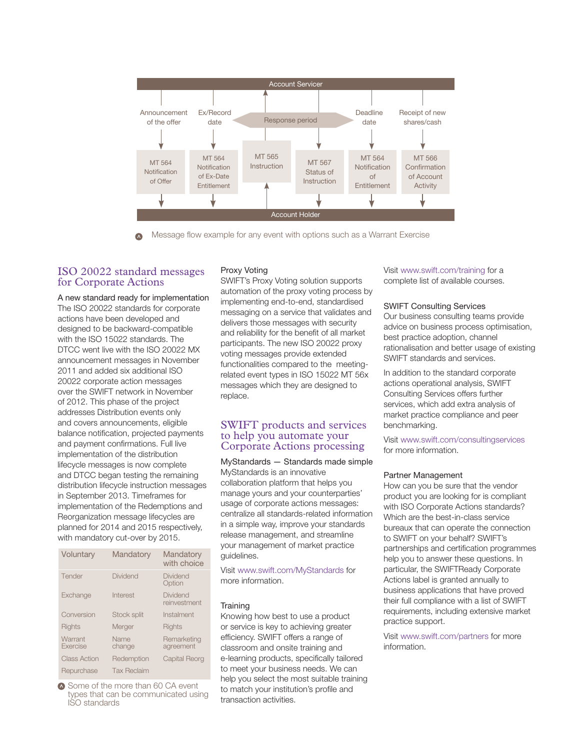

Message flow example for any event with options such as a Warrant Exercise

#### ISO 20022 standard messages for Corporate Actions

A new standard ready for implementation The ISO 20022 standards for corporate actions have been developed and designed to be backward-compatible with the ISO 15022 standards. The DTCC went live with the ISO 20022 MX announcement messages in November 2011 and added six additional ISO 20022 corporate action messages over the SWIFT network in November of 2012. This phase of the project addresses Distribution events only and covers announcements, eligible balance notification, projected payments and payment confirmations. Full live implementation of the distribution lifecycle messages is now complete and DTCC began testing the remaining distribution lifecycle instruction messages in September 2013. Timeframes for implementation of the Redemptions and Reorganization message lifecycles are planned for 2014 and 2015 respectively, with mandatory cut-over by 2015.

| Voluntary                  | Mandatory          | Mandatory<br>with choice |
|----------------------------|--------------------|--------------------------|
| Tender                     | Dividend           | Dividend<br>Option       |
| Exchange                   | Interest           | Dividend<br>reinvestment |
| Conversion                 | Stock split        | Instalment               |
| Rights                     | Merger             | Rights                   |
| Warrant<br><b>Fxercise</b> | Name<br>change     | Remarketing<br>agreement |
| <b>Class Action</b>        | Redemption         | Capital Reorg            |
| Repurchase                 | <b>Tax Reclaim</b> |                          |

Some of the more than 60 CA event types that can be communicated using ISO standards

#### Proxy Voting

SWIFT's Proxy Voting solution supports automation of the proxy voting process by implementing end-to-end, standardised messaging on a service that validates and delivers those messages with security and reliability for the benefit of all market participants. The new ISO 20022 proxy voting messages provide extended functionalities compared to the meetingrelated event types in ISO 15022 MT 56x messages which they are designed to replace.

## SWIFT products and services to help you automate your Corporate Actions processing

MyStandards — Standards made simple MyStandards is an innovative collaboration platform that helps you manage yours and your counterparties' usage of corporate actions messages: centralize all standards-related information in a simple way, improve your standards release management, and streamline your management of market practice guidelines.

Visit [www.swift.com/MyStandards](http://www.swift.com/MyStandards) for more information.

#### **Training**

Knowing how best to use a product or service is key to achieving greater efficiency. SWIFT offers a range of classroom and onsite training and e-learning products, specifically tailored to meet your business needs. We can help you select the most suitable training to match your institution's profile and transaction activities.

Visit [www.swift.com/training](http://www.swift.com/training) for a complete list of available courses.

#### SWIFT Consulting Services

Our business consulting teams provide advice on business process optimisation, best practice adoption, channel rationalisation and better usage of existing SWIFT standards and services.

In addition to the standard corporate actions operational analysis, SWIFT Consulting Services offers further services, which add extra analysis of market practice compliance and peer benchmarking.

Visit [www.swift.com/consultingservices](http://www.swift.com/consultingservices) for more information.

#### Partner Management

How can you be sure that the vendor product you are looking for is compliant with ISO Corporate Actions standards? Which are the best-in-class service bureaux that can operate the connection to SWIFT on your behalf? SWIFT's partnerships and certification programmes help you to answer these questions. In particular, the SWIFTReady Corporate Actions label is granted annually to business applications that have proved their full compliance with a list of SWIFT requirements, including extensive market practice support.

Visit [www.swift.com/partners](http://www.swift.com/partners/) for more information.